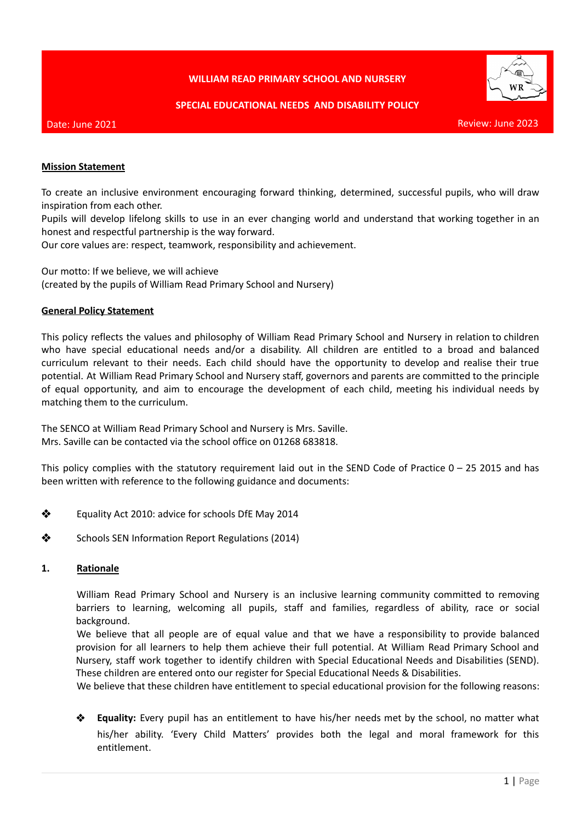# **WILLIAM READ PRIMARY SCHOOL AND NURSERY**



#### **SPECIAL EDUCATIONAL NEEDS AND DISABILITY POLICY**

#### Date: June 2021

Review: June 2023

### **Mission Statement**

To create an inclusive environment encouraging forward thinking, determined, successful pupils, who will draw inspiration from each other.

Pupils will develop lifelong skills to use in an ever changing world and understand that working together in an honest and respectful partnership is the way forward.

Our core values are: respect, teamwork, responsibility and achievement.

Our motto: If we believe, we will achieve (created by the pupils of William Read Primary School and Nursery)

### **General Policy Statement**

This policy reflects the values and philosophy of William Read Primary School and Nursery in relation to children who have special educational needs and/or a disability. All children are entitled to a broad and balanced curriculum relevant to their needs. Each child should have the opportunity to develop and realise their true potential. At William Read Primary School and Nursery staff, governors and parents are committed to the principle of equal opportunity, and aim to encourage the development of each child, meeting his individual needs by matching them to the curriculum.

The SENCO at William Read Primary School and Nursery is Mrs. Saville. Mrs. Saville can be contacted via the school office on 01268 683818.

This policy complies with the statutory requirement laid out in the SEND Code of Practice  $0 - 25$  2015 and has been written with reference to the following guidance and documents:

- ❖ Equality Act 2010: advice for schools DfE May 2014
- ❖ Schools SEN Information Report Regulations (2014)

#### **1. Rationale**

William Read Primary School and Nursery is an inclusive learning community committed to removing barriers to learning, welcoming all pupils, staff and families, regardless of ability, race or social background.

We believe that all people are of equal value and that we have a responsibility to provide balanced provision for all learners to help them achieve their full potential. At William Read Primary School and Nursery, staff work together to identify children with Special Educational Needs and Disabilities (SEND). These children are entered onto our register for Special Educational Needs & Disabilities.

We believe that these children have entitlement to special educational provision for the following reasons:

❖ **Equality:** Every pupil has an entitlement to have his/her needs met by the school, no matter what his/her ability. 'Every Child Matters' provides both the legal and moral framework for this entitlement.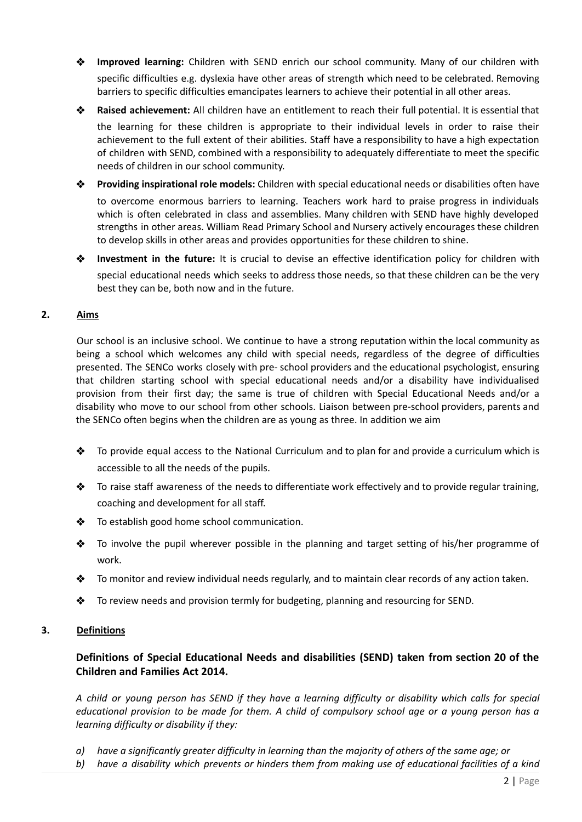- ❖ **Improved learning:** Children with SEND enrich our school community. Many of our children with specific difficulties e.g. dyslexia have other areas of strength which need to be celebrated. Removing barriers to specific difficulties emancipates learners to achieve their potential in all other areas.
- ❖ **Raised achievement:** All children have an entitlement to reach their full potential. It is essential that

the learning for these children is appropriate to their individual levels in order to raise their achievement to the full extent of their abilities. Staff have a responsibility to have a high expectation of children with SEND, combined with a responsibility to adequately differentiate to meet the specific needs of children in our school community.

- ❖ **Providing inspirational role models:** Children with special educational needs or disabilities often have to overcome enormous barriers to learning. Teachers work hard to praise progress in individuals which is often celebrated in class and assemblies. Many children with SEND have highly developed strengths in other areas. William Read Primary School and Nursery actively encourages these children to develop skills in other areas and provides opportunities for these children to shine.
- ❖ **Investment in the future:** It is crucial to devise an effective identification policy for children with special educational needs which seeks to address those needs, so that these children can be the very best they can be, both now and in the future.

# **2. Aims**

Our school is an inclusive school. We continue to have a strong reputation within the local community as being a school which welcomes any child with special needs, regardless of the degree of difficulties presented. The SENCo works closely with pre- school providers and the educational psychologist, ensuring that children starting school with special educational needs and/or a disability have individualised provision from their first day; the same is true of children with Special Educational Needs and/or a disability who move to our school from other schools. Liaison between pre-school providers, parents and the SENCo often begins when the children are as young as three. In addition we aim

- ❖ To provide equal access to the National Curriculum and to plan for and provide a curriculum which is accessible to all the needs of the pupils.
- ❖ To raise staff awareness of the needs to differentiate work effectively and to provide regular training, coaching and development for all staff.
- ❖ To establish good home school communication.
- ❖ To involve the pupil wherever possible in the planning and target setting of his/her programme of work.
- ❖ To monitor and review individual needs regularly, and to maintain clear records of any action taken.
- $\clubsuit$  To review needs and provision termly for budgeting, planning and resourcing for SEND.

# **3. Definitions**

# **Definitions of Special Educational Needs and disabilities (SEND) taken from section 20 of the Children and Families Act 2014.**

A child or young person has SEND if they have a learning difficulty or disability which calls for special educational provision to be made for them. A child of compulsory school age or a young person has a *learning difficulty or disability if they:*

- a) have a significantly greater difficulty in learning than the majority of others of the same age; or
- b) have a disability which prevents or hinders them from making use of educational facilities of a kind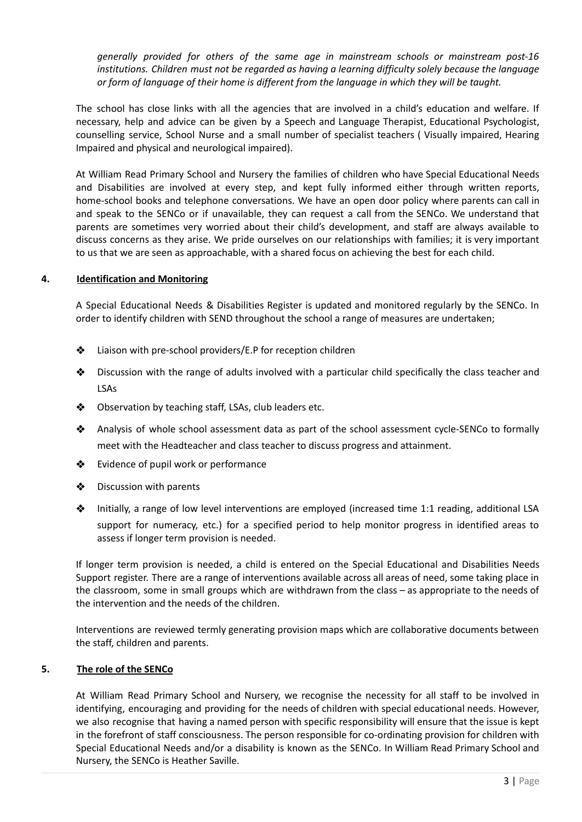*generally provided for others of the same age in mainstream schools or mainstream post-16 institutions. Children must not be regarded as having a learning difficulty solely because the language or form of language of their home is different from the language in which they will be taught.*

The school has close links with all the agencies that are involved in a child's education and welfare. If necessary, help and advice can be given by a Speech and Language Therapist, Educational Psychologist, counselling service, School Nurse and a small number of specialist teachers ( Visually impaired, Hearing Impaired and physical and neurological impaired).

At William Read Primary School and Nursery the families of children who have Special Educational Needs and Disabilities are involved at every step, and kept fully informed either through written reports, home-school books and telephone conversations. We have an open door policy where parents can call in and speak to the SENCo or if unavailable, they can request a call from the SENCo. We understand that parents are sometimes very worried about their child's development, and staff are always available to discuss concerns as they arise. We pride ourselves on our relationships with families; it is very important to us that we are seen as approachable, with a shared focus on achieving the best for each child.

# **4. Identification and Monitoring**

A Special Educational Needs & Disabilities Register is updated and monitored regularly by the SENCo. In order to identify children with SEND throughout the school a range of measures are undertaken;

- ❖ Liaison with pre-school providers/E.P for reception children
- ❖ Discussion with the range of adults involved with a particular child specifically the class teacher and LSAs
- ❖ Observation by teaching staff, LSAs, club leaders etc.
- ❖ Analysis of whole school assessment data as part of the school assessment cycle-SENCo to formally meet with the Headteacher and class teacher to discuss progress and attainment.
- ❖ Evidence of pupil work or performance
- ❖ Discussion with parents
- ❖ Initially, a range of low level interventions are employed (increased time 1:1 reading, additional LSA support for numeracy, etc.) for a specified period to help monitor progress in identified areas to assess if longer term provision is needed.

If longer term provision is needed, a child is entered on the Special Educational and Disabilities Needs Support register. There are a range of interventions available across all areas of need, some taking place in the classroom, some in small groups which are withdrawn from the class – as appropriate to the needs of the intervention and the needs of the children.

Interventions are reviewed termly generating provision maps which are collaborative documents between the staff, children and parents.

# **5. The role of the SENCo**

At William Read Primary School and Nursery, we recognise the necessity for all staff to be involved in identifying, encouraging and providing for the needs of children with special educational needs. However, we also recognise that having a named person with specific responsibility will ensure that the issue is kept in the forefront of staff consciousness. The person responsible for co-ordinating provision for children with Special Educational Needs and/or a disability is known as the SENCo. In William Read Primary School and Nursery, the SENCo is Heather Saville.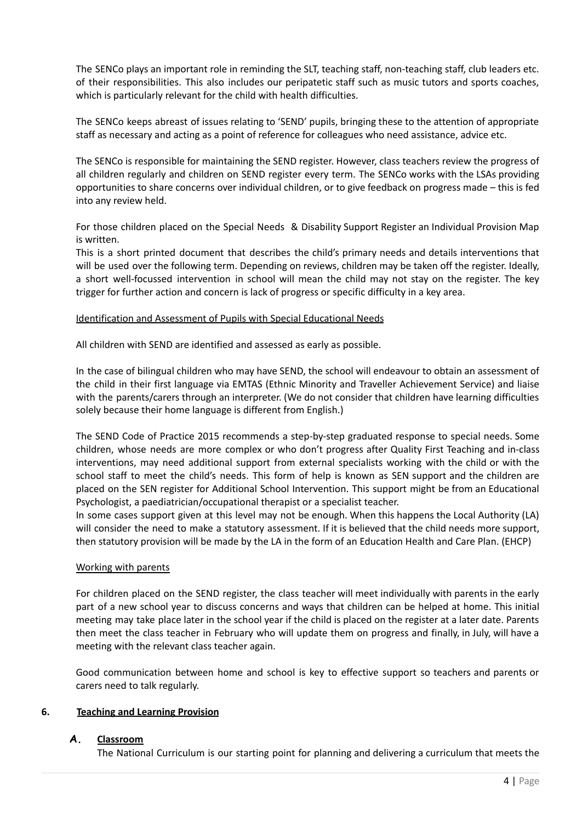The SENCo plays an important role in reminding the SLT, teaching staff, non-teaching staff, club leaders etc. of their responsibilities. This also includes our peripatetic staff such as music tutors and sports coaches, which is particularly relevant for the child with health difficulties.

The SENCo keeps abreast of issues relating to 'SEND' pupils, bringing these to the attention of appropriate staff as necessary and acting as a point of reference for colleagues who need assistance, advice etc.

The SENCo is responsible for maintaining the SEND register. However, class teachers review the progress of all children regularly and children on SEND register every term. The SENCo works with the LSAs providing opportunities to share concerns over individual children, or to give feedback on progress made – this is fed into any review held.

For those children placed on the Special Needs & Disability Support Register an Individual Provision Map is written.

This is a short printed document that describes the child's primary needs and details interventions that will be used over the following term. Depending on reviews, children may be taken off the register. Ideally, a short well-focussed intervention in school will mean the child may not stay on the register. The key trigger for further action and concern is lack of progress or specific difficulty in a key area.

### Identification and Assessment of Pupils with Special Educational Needs

All children with SEND are identified and assessed as early as possible.

In the case of bilingual children who may have SEND, the school will endeavour to obtain an assessment of the child in their first language via EMTAS (Ethnic Minority and Traveller Achievement Service) and liaise with the parents/carers through an interpreter. (We do not consider that children have learning difficulties solely because their home language is different from English.)

The SEND Code of Practice 2015 recommends a step-by-step graduated response to special needs. Some children, whose needs are more complex or who don't progress after Quality First Teaching and in-class interventions, may need additional support from external specialists working with the child or with the school staff to meet the child's needs. This form of help is known as SEN support and the children are placed on the SEN register for Additional School Intervention. This support might be from an Educational Psychologist, a paediatrician/occupational therapist or a specialist teacher.

In some cases support given at this level may not be enough. When this happens the Local Authority (LA) will consider the need to make a statutory assessment. If it is believed that the child needs more support, then statutory provision will be made by the LA in the form of an Education Health and Care Plan. (EHCP)

# Working with parents

For children placed on the SEND register, the class teacher will meet individually with parents in the early part of a new school year to discuss concerns and ways that children can be helped at home. This initial meeting may take place later in the school year if the child is placed on the register at a later date. Parents then meet the class teacher in February who will update them on progress and finally, in July, will have a meeting with the relevant class teacher again.

Good communication between home and school is key to effective support so teachers and parents or carers need to talk regularly.

# **6. Teaching and Learning Provision**

# **A. Classroom**

The National Curriculum is our starting point for planning and delivering a curriculum that meets the